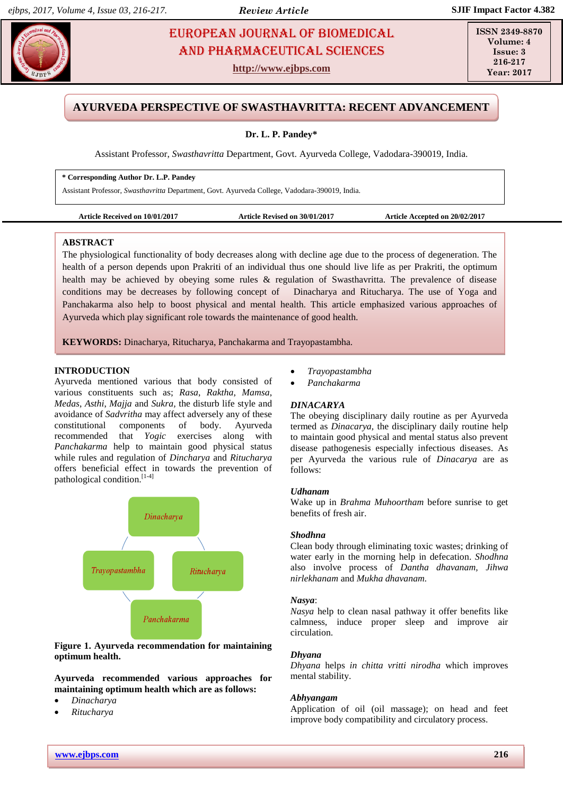# **Pandem Pandews EUROPEAN JOURNAL OF BIOMEDICAL And Pharmaceutical Sciences** Sciences AND Pharmaceutical sciences

**http://www.ejbps.com**

**ISSN 2349-8870 Volume: 4 Issue: 3 216-217 Year: 2017**

# **AYURVEDA PERSPECTIVE OF SWASTHAVRITTA: RECENT ADVANCEMENT**

# **Dr. L. P. Pandey\***

Assistant Professor, *Swasthavritta* Department, Govt. Ayurveda College, Vadodara-390019, India.

#### **\* Corresponding Author Dr. L.P. Pandey**

Assistant Professor, *Swasthavritta* Department, Govt. Ayurveda College, Vadodara-390019, India.

**Article Received on 10/01/2017 Article Revised on 30/01/2017 Article Accepted on 20/02/2017**

# **ABSTRACT**

The physiological functionality of body decreases along with decline age due to the process of degeneration. The health of a person depends upon Prakriti of an individual thus one should live life as per Prakriti, the optimum health may be achieved by obeying some rules & regulation of Swasthavritta. The prevalence of disease conditions may be decreases by following concept of Dinacharya and Ritucharya. The use of Yoga and Panchakarma also help to boost physical and mental health. This article emphasized various approaches of Ayurveda which play significant role towards the maintenance of good health.

**KEYWORDS:** Dinacharya, Ritucharya, Panchakarma and Trayopastambha.

### **INTRODUCTION**

Ayurveda mentioned various that body consisted of various constituents such as; *Rasa*, *Raktha*, *Mamsa*, *Medas*, *Asthi*, *Majja* and *Sukra,* the disturb life style and avoidance of *Sadvritha* may affect adversely any of these constitutional components of body. Ayurveda recommended that *Yogic* exercises along with *Panchakarma* help to maintain good physical status while rules and regulation of *Dincharya* and *Ritucharya* offers beneficial effect in towards the prevention of pathological condition. [1-4]



**Figure 1. Ayurveda recommendation for maintaining optimum health.**

**Ayurveda recommended various approaches for maintaining optimum health which are as follows:**

- *Dinacharya*
- *Ritucharya*
- *Trayopastambha*
- *Panchakarma*

# *DINACARYA*

The obeying disciplinary daily routine as per Ayurveda termed as *Dinacarya,* the disciplinary daily routine help to maintain good physical and mental status also prevent disease pathogenesis especially infectious diseases. As per Ayurveda the various rule of *Dinacarya* are as follows:

#### *Udhanam*

Wake up in *Brahma Muhoortham* before sunrise to get benefits of fresh air.

### *Shodhna*

Clean body through eliminating toxic wastes; drinking of water early in the morning help in defecation. *Shodhna*  also involve process of *Dantha dhavanam, Jihwa nirlekhanam* and *Mukha dhavanam.*

#### *Nasya*:

*Nasya* help to clean nasal pathway it offer benefits like calmness, induce proper sleep and improve air circulation.

# *Dhyana*

*Dhyana* helps *in chitta vritti nirodha* which improves mental stability.

#### *Abhyangam*

Application of oil (oil massage); on head and feet improve body compatibility and circulatory process.